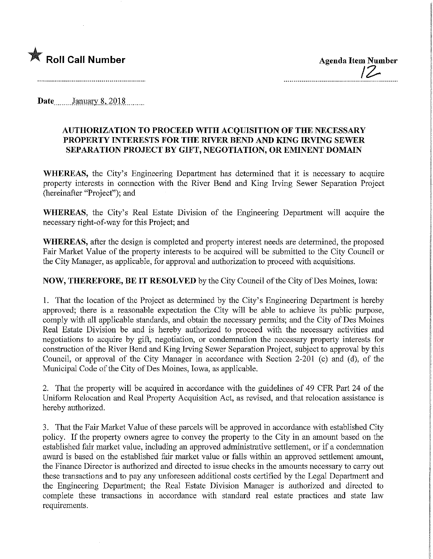

Roll Call Number Agenda Item Number Agenda Item Number

Date January 8, 2018

## AUTHORIZATION TO PROCEED WITH ACQUISITION OF THE NECESSARY PROPERTY INTERESTS FOR THE RIVER BEND AND KING IRVING SEWER SEPARATION PROJECT BY GIFT, NEGOTIATION, OR EMINENT DOMAIN

WHEREAS, the City's Engineering Department has determined that it is necessary to acquire property interests in connection with the River Bend and King Irving Sewer Separation Project (hereinafter "Project"); and

WHEREAS, the City's Real Estate Division of the Engineering Department will acquire the necessary right-of-way for this Project; and

WHEREAS, after the design is completed and property mterest needs are determined, the proposed Fair Market Value of the property interests to be acquired will be submitted to the City Council or the City Manager, as applicable, for approval and authorization to proceed with acquisitions.

## NOW, THEREFORE, BE IT RESOLVED by the City Council of the City of Des Moines, Iowa:

1. That the location of the Project as determined by the City's Engineering Department is hereby approved; there is a reasonable expectation the City will be able to achieve its public purpose, comply with all applicable standards, and obtain the necessary permits; and the City of Des Moines Real Estate Division be and is hereby authorized to proceed with the necessary activities and negotiations to acquire by gift, negotiation, or condemnation the necessary property interests for construction of the River Bend and King Irving Sewer Separation Project, subject to approval by this Council, or approval of the City Manager in accordance with Section 2-201 (c) and (d), of the Municipal Code of the City of Des Moines, Iowa, as applicable.

2. That the property will be acquired in accordance with the guidelmes of 49 CFR Part 24 of the Uniform Relocation and Real Property Acquisition Act, as revised, and that relocation assistance is hereby authorized.

3. That the Fair Market Value of these parcels will be approved in accordance with established City policy. If the property owners agree to convey the property to the City in an amount based on the established fair market value, including an approved administrative settlement, or if a condemnation award is based on the established fair market value or falls within an approved settlement amount, the Finance Director is authorized and directed to issue checks in the amounts necessary to carry out these transactions and to pay any unforeseen additional costs certified by the Legal Department and the Engineering Department; the Real Estate Division Manager is authorized and directed to complete these transactions in accordance with standard real estate practices and state law requirements.